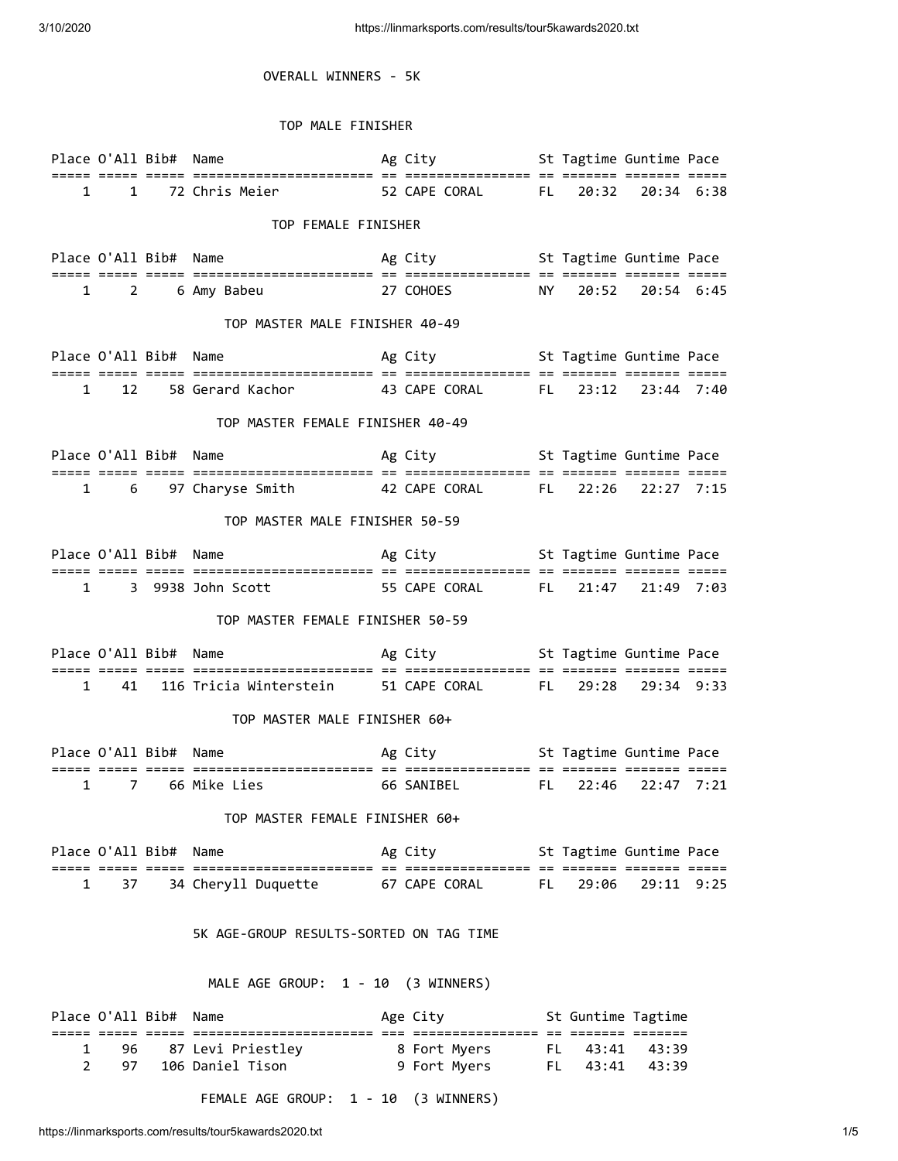## OVERALL WINNERS - 5K

## TOP MALE FINISHER

|                                         |              | Place O'All Bib# Name |                                                                  |  | Ag City                                     St Tagtime Guntime Pace |  |                    |                        |  |  |
|-----------------------------------------|--------------|-----------------------|------------------------------------------------------------------|--|---------------------------------------------------------------------|--|--------------------|------------------------|--|--|
|                                         | $\mathbf{1}$ |                       | 1 72 Chris Meier 52 CAPE CORAL FL                                |  |                                                                     |  |                    | 20:32 20:34 6:38       |  |  |
|                                         |              |                       |                                                                  |  |                                                                     |  |                    |                        |  |  |
| TOP FEMALE FINISHER                     |              |                       |                                                                  |  |                                                                     |  |                    |                        |  |  |
|                                         |              |                       | Place O'All Bib# Name                                            |  | Ag City <b>St Tagtime Guntime Pace</b>                              |  |                    |                        |  |  |
|                                         |              |                       |                                                                  |  |                                                                     |  |                    |                        |  |  |
|                                         |              |                       | 1 2 6 Amy Babeu 27 COHOES NY 20:52 20:54 6:45                    |  |                                                                     |  |                    |                        |  |  |
| TOP MASTER MALE FINISHER 40-49          |              |                       |                                                                  |  |                                                                     |  |                    |                        |  |  |
|                                         |              | Place O'All Bib# Name |                                                                  |  | Ag City <b>St Tagtime Guntime Pace</b>                              |  |                    |                        |  |  |
|                                         |              |                       | 1 12 58 Gerard Kachor 43 CAPE CORAL FL 23:12 23:44 7:40          |  |                                                                     |  |                    |                        |  |  |
|                                         |              |                       |                                                                  |  |                                                                     |  |                    |                        |  |  |
|                                         |              |                       | TOP MASTER FEMALE FINISHER 40-49                                 |  |                                                                     |  |                    |                        |  |  |
|                                         |              |                       | Place O'All Bib# Name The St Tagtime Guntime Pace                |  |                                                                     |  |                    |                        |  |  |
|                                         |              |                       |                                                                  |  |                                                                     |  |                    |                        |  |  |
|                                         | 1 6          |                       | 97 Charyse Smith 42 CAPE CORAL FL 22:26 22:27 7:15               |  |                                                                     |  |                    |                        |  |  |
| TOP MASTER MALE FINISHER 50-59          |              |                       |                                                                  |  |                                                                     |  |                    |                        |  |  |
|                                         |              |                       | Place O'All Bib# Name The Socity Ag City St Tagtime Guntime Pace |  |                                                                     |  |                    |                        |  |  |
| $\mathbf{1}$                            |              |                       |                                                                  |  |                                                                     |  |                    |                        |  |  |
|                                         |              |                       |                                                                  |  |                                                                     |  |                    |                        |  |  |
| TOP MASTER FEMALE FINISHER 50-59        |              |                       |                                                                  |  |                                                                     |  |                    |                        |  |  |
|                                         |              |                       | Place O'All Bib# Name                                            |  | Ag City <b>St Tagtime Guntime Pace</b>                              |  |                    |                        |  |  |
|                                         | $\mathbf{1}$ |                       | 41 116 Tricia Winterstein 51 CAPE CORAL FL 29:28 29:34 9:33      |  |                                                                     |  |                    |                        |  |  |
|                                         |              |                       | TOP MASTER MALE FINISHER 60+                                     |  |                                                                     |  |                    |                        |  |  |
|                                         |              |                       |                                                                  |  |                                                                     |  |                    |                        |  |  |
|                                         |              |                       |                                                                  |  |                                                                     |  |                    |                        |  |  |
| $\mathbf{1}$                            |              |                       | 7 66 Mike Lies 66 SANIBEL FL                                     |  |                                                                     |  |                    | $22:46$ $22:47$ $7:21$ |  |  |
|                                         |              |                       | TOP MASTER FEMALE FINISHER 60+                                   |  |                                                                     |  |                    |                        |  |  |
|                                         |              | Place O'All Bib# Name |                                                                  |  | Ag City <b>St Tagtime Guntime Pace</b>                              |  |                    |                        |  |  |
| 1                                       | 37           |                       | 34 Cheryll Duquette 67 CAPE CORAL FL                             |  |                                                                     |  | 29:06              | 29:11 9:25             |  |  |
|                                         |              |                       |                                                                  |  |                                                                     |  |                    |                        |  |  |
| 5K AGE-GROUP RESULTS-SORTED ON TAG TIME |              |                       |                                                                  |  |                                                                     |  |                    |                        |  |  |
| MALE AGE GROUP: 1 - 10 (3 WINNERS)      |              |                       |                                                                  |  |                                                                     |  |                    |                        |  |  |
|                                         |              |                       |                                                                  |  |                                                                     |  |                    |                        |  |  |
|                                         |              | Place O'All Bib# Name |                                                                  |  | Age City                                                            |  | St Guntime Tagtime |                        |  |  |
| 1                                       | 96           |                       | 87 Levi Priestley                                                |  | 8 Fort Myers FL 43:41 43:39<br>9 Fort Myers FL 43:41 43:39          |  |                    |                        |  |  |
| 2                                       | 97           |                       | 106 Daniel Tison                                                 |  |                                                                     |  |                    |                        |  |  |

FEMALE AGE GROUP: 1 - 10 (3 WINNERS)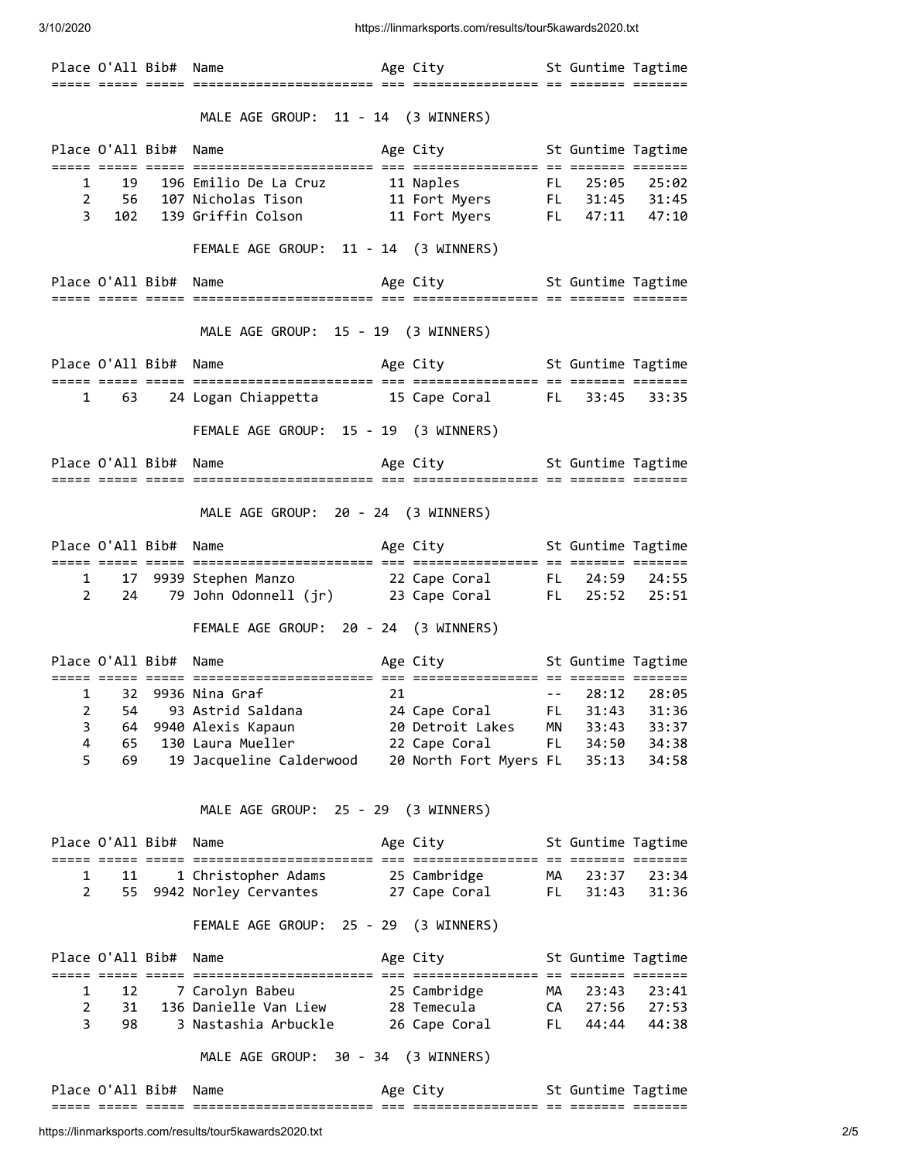3/10/2020 https://linmarksports.com/results/tour5kawards2020.txt

|   |                       |    | MALE AGE GROUP: 11 - 14 (3 WINNERS)                                                                                                                                  |                                    |      |                  |       |
|---|-----------------------|----|----------------------------------------------------------------------------------------------------------------------------------------------------------------------|------------------------------------|------|------------------|-------|
|   | Place O'All Bib# Name |    | Age City <b>St Guntime Tagtime</b>                                                                                                                                   |                                    |      |                  |       |
|   |                       |    | 1 19 196 Emilio De La Cruz 11 Naples FL 25:05 25:02<br>2 56 107 Nicholas Tison 11 Fort Myers FL 31:45 31:45<br>3 102 139 Griffin Colson 11 Fort Myers FL 47:11 47:10 |                                    |      |                  |       |
|   |                       |    | FEMALE AGE GROUP: 11 - 14 (3 WINNERS)                                                                                                                                |                                    |      |                  |       |
|   |                       |    | Place O'All Bib# Name and the Age City of St Guntime Tagtime                                                                                                         |                                    |      |                  |       |
|   |                       |    | MALE AGE GROUP: 15 - 19 (3 WINNERS)                                                                                                                                  |                                    |      |                  |       |
|   |                       |    |                                                                                                                                                                      |                                    |      |                  |       |
|   |                       |    | 1 63 24 Logan Chiappetta 15 Cape Coral FL 33:45 33:35                                                                                                                |                                    |      |                  |       |
|   |                       |    | FEMALE AGE GROUP: 15 - 19 (3 WINNERS)                                                                                                                                |                                    |      |                  |       |
|   |                       |    |                                                                                                                                                                      |                                    |      |                  |       |
|   |                       |    | MALE AGE GROUP: 20 - 24 (3 WINNERS)                                                                                                                                  |                                    |      |                  |       |
|   |                       |    | Place O'All Bib# Name <b>Age City</b> 5t Guntime Tagtime                                                                                                             |                                    |      |                  |       |
|   | $2 \overline{24}$     |    | 1 17 9939 Stephen Manzo 22 Cape Coral FL 24:59 24:55<br>79 John Odonnell (jr) 23 Cape Coral FL 25:52 25:51                                                           |                                    |      |                  |       |
|   |                       |    | FEMALE AGE GROUP: 20 - 24 (3 WINNERS)                                                                                                                                |                                    |      |                  |       |
|   |                       |    |                                                                                                                                                                      |                                    |      |                  |       |
|   |                       |    | 1 32 9936 Nina Graf 21                                                                                                                                               |                                    |      | $-- 28:12 28:05$ |       |
| 2 | 54                    |    | 93 Astrid Saldana                                                                                                                                                    | 24 Cape Coral                      | FL 1 | 31:43            | 31:36 |
| 3 | 64                    |    |                                                                                                                                                                      |                                    |      |                  |       |
| 4 | 65                    |    |                                                                                                                                                                      |                                    |      |                  |       |
| 5 | 69                    |    |                                                                                                                                                                      |                                    |      |                  |       |
|   |                       |    | MALE AGE GROUP: 25 - 29 (3 WINNERS)                                                                                                                                  |                                    |      |                  |       |
|   | Place O'All Bib# Name |    |                                                                                                                                                                      | Age City <b>St Guntime Tagtime</b> |      |                  |       |
| 1 |                       | 11 |                                                                                                                                                                      |                                    |      |                  |       |
| 2 | 55                    |    |                                                                                                                                                                      |                                    |      |                  |       |
|   |                       |    | FEMALE AGE GROUP: 25 - 29 (3 WINNERS)                                                                                                                                |                                    |      |                  |       |
|   | Place O'All Bib# Name |    |                                                                                                                                                                      | Age City <b>St Guntime Tagtime</b> |      |                  |       |
|   | $1 \quad$<br>12       |    |                                                                                                                                                                      |                                    |      |                  |       |
|   | $\overline{2}$<br>31  |    | 136 Danielle Van Liew                                                                                                                                                |                                    |      | CA 27:56 27:53   |       |
| 3 | 98                    |    | 3 Nastashia Arbuckle 26 Cape Coral                                                                                                                                   |                                    |      | FL 44:44 44:38   |       |
|   |                       |    | MALE AGE GROUP: 30 - 34 (3 WINNERS)                                                                                                                                  |                                    |      |                  |       |
|   | Place O'All Bib#      |    | Name                                                                                                                                                                 | Age City <b>St Guntime Tagtime</b> |      |                  |       |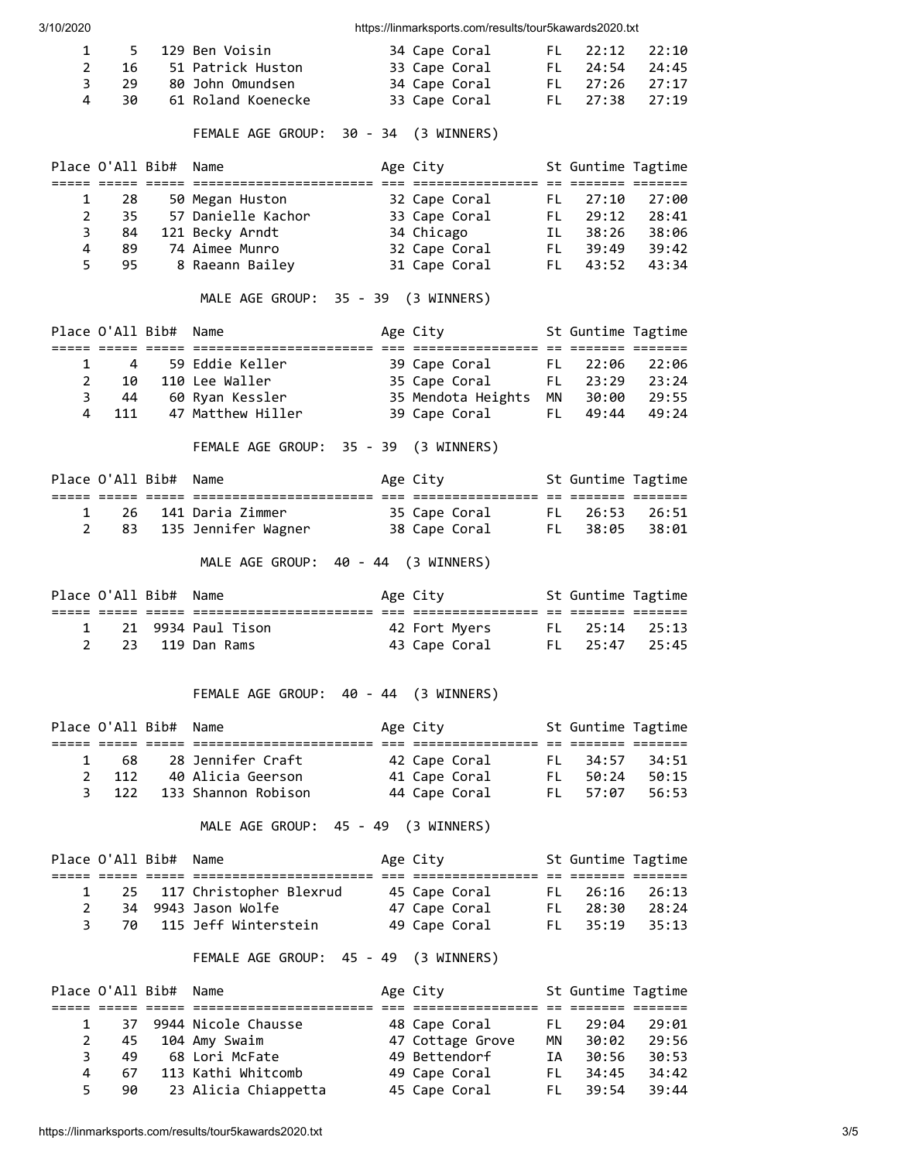| 3/10/2020                    |                  |                  |                                                                                                        | https://linmarksports.com/results/tour5kawards2020.txt |           |                                  |                            |
|------------------------------|------------------|------------------|--------------------------------------------------------------------------------------------------------|--------------------------------------------------------|-----------|----------------------------------|----------------------------|
| 1                            | 5.               |                  | 129 Ben Voisin                                                                                         | 34 Cape Coral                                          | FL.       | 22:12                            | 22:10                      |
| $\overline{2}$               | 16               |                  | 51 Patrick Huston                                                                                      | 33 Cape Coral                                          | FL 9      | 24:54                            | 24:45                      |
| 3                            | 29               |                  | 80 John Omundsen                                                                                       | 34 Cape Coral                                          | FL .      | 27:26                            | 27:17                      |
| 4                            | 30               |                  | 61 Roland Koenecke                                                                                     | 33 Cape Coral                                          | FL -      | 27:38                            | 27:19                      |
|                              |                  |                  | FEMALE AGE GROUP: 30 - 34 (3 WINNERS)                                                                  |                                                        |           |                                  |                            |
|                              |                  | Place O'All Bib# | Name<br>titli iliti titli ilitin ilitikallilililililililili oli titlililililililili ol titlisi titlisi | Age City                                               |           | St Guntime Tagtime               |                            |
| 1                            | 28               |                  | 50 Megan Huston                                                                                        | 32 Cape Coral                                          | FL -      | 27:10                            | 27:00                      |
| $\overline{2}$               | 35               |                  | 57 Danielle Kachor 33 Cape Coral                                                                       |                                                        | FL .      | 29:12                            | 28:41                      |
| 3<br>$\overline{\mathbf{4}}$ | 84<br>89         |                  | 121 Becky Arndt<br>74 Aimee Munro                                                                      | 34 Chicago                                             |           | IL 38:26 38:06<br>FL 39:49 39:42 |                            |
| 5                            | 95               |                  | 8 Raeann Bailey                                                                                        | 32 Cape Coral<br>31 Cape Coral                         |           | FL 43:52                         | 43:34                      |
|                              |                  |                  |                                                                                                        |                                                        |           |                                  |                            |
|                              |                  |                  | MALE AGE GROUP: 35 - 39 (3 WINNERS)                                                                    |                                                        |           |                                  |                            |
|                              | Place O'All Bib# |                  | Name                                                                                                   | Age City                                               |           | St Guntime Tagtime               |                            |
| 1                            | $\overline{4}$   |                  | 59 Eddie Keller                                                                                        | 39 Cape Coral<br>35 Cape Coral<br>35 Mendota Heiøhts   |           | FL 22:06                         | 22:06                      |
| $\overline{2}$               | 10               |                  | 110 Lee Waller                                                                                         |                                                        |           | FL 23:29 23:24<br>MN 30:00 29:55 |                            |
| 3                            | - 44             |                  | 60 Ryan Kessler<br>47 Matthew Hiller                                                                   | 35 Mendota Heights                                     |           |                                  |                            |
| 4                            | 111              |                  |                                                                                                        | 39 Cape Coral                                          | FL -      | 49:44                            | 49:24                      |
|                              |                  |                  | FEMALE AGE GROUP: 35 - 39 (3 WINNERS)                                                                  |                                                        |           |                                  |                            |
|                              | Place O'All Bib# |                  | Name                                                                                                   | Age City                                               |           | St Guntime Tagtime               |                            |
| 1                            | 26               |                  |                                                                                                        |                                                        |           |                                  |                            |
| $\overline{2}$               | 83               |                  |                                                                                                        |                                                        |           |                                  |                            |
|                              |                  |                  | MALE AGE GROUP: 40 - 44 (3 WINNERS)                                                                    |                                                        |           |                                  |                            |
|                              |                  | Place O'All Bib# | Name                                                                                                   | Age City                                               |           | St Guntime Tagtime               |                            |
| 1                            |                  |                  | 21 9934 Paul Tison                                                                                     | 42 Fort Myers                                          |           | FL 25:14                         | 25:13                      |
| $\overline{2}$               | 23               |                  | 119 Dan Rams                                                                                           | 43 Cape Coral                                          | FL .      | 25:47                            | 25:45                      |
|                              |                  |                  |                                                                                                        |                                                        |           |                                  |                            |
|                              |                  |                  | FEMALE AGE GROUP: 40 - 44 (3 WINNERS)                                                                  |                                                        |           |                                  |                            |
|                              | Place O'All Bib# |                  | Name                                                                                                   | Age City                                               |           | St Guntime Tagtime               |                            |
| 1                            | 68 —             |                  | 28 Jennifer Craft                                                                                      | 42 Cape Coral                                          |           | FL 34:57                         | 34:51                      |
| $\overline{2}$               |                  |                  | 112 40 Alicia Geerson                                                                                  | 41 Cape Coral                                          |           | FL 50:24                         | 50:15                      |
| 3                            | 122              |                  | 133 Shannon Robison                                                                                    | 44 Cape Coral                                          | FL -      | 57:07                            | 56:53                      |
|                              |                  |                  | MALE AGE GROUP: 45 - 49 (3 WINNERS)                                                                    |                                                        |           |                                  |                            |
|                              | Place O'All Bib# |                  | Name                                                                                                   | Age City                                               |           | St Guntime Tagtime               |                            |
| 1                            | 25.              |                  | 117 Christopher Blexrud                                                                                | 45 Cape Coral FL                                       |           | 26:16                            | 26:13                      |
| $\overline{2}$               |                  |                  | 34 9943 Jason Wolfe                                                                                    | 47 Cape Coral                                          |           |                                  | 28:24                      |
| 3                            | 70               |                  | 115 Jeff Winterstein                                                                                   | 49 Cape Coral                                          |           | FL 28:30<br>FL 35:19             | 35:13                      |
|                              |                  |                  | FEMALE AGE GROUP: 45 - 49 (3 WINNERS)                                                                  |                                                        |           |                                  |                            |
|                              | Place O'All Bib# |                  | Name                                                                                                   | Age City                                               |           | St Guntime Tagtime               |                            |
| 1                            | 37               |                  | 9944 Nicole Chausse                                                                                    | 48 Cape Coral                                          | FL -      | 29:04                            | 29:01                      |
| $\overline{2}$               | 45               |                  | 104 Amy Swaim                                                                                          | 47 Cottage Grove                                       | <b>MN</b> |                                  |                            |
| 3                            | 49               |                  | 68 Lori McFate                                                                                         | 49 Bettendorf                                          | <b>IA</b> |                                  | 30:02 29:56<br>30:56 30:53 |
| 4                            | 67               |                  | 113 Kathi Whitcomb                                                                                     | 49 Cape Coral                                          | FL .      |                                  | 34:45 34:42                |
| 5                            | 90               |                  | 23 Alicia Chiappetta                                                                                   | 45 Cape Coral                                          | FL and    | 39:54                            | 39:44                      |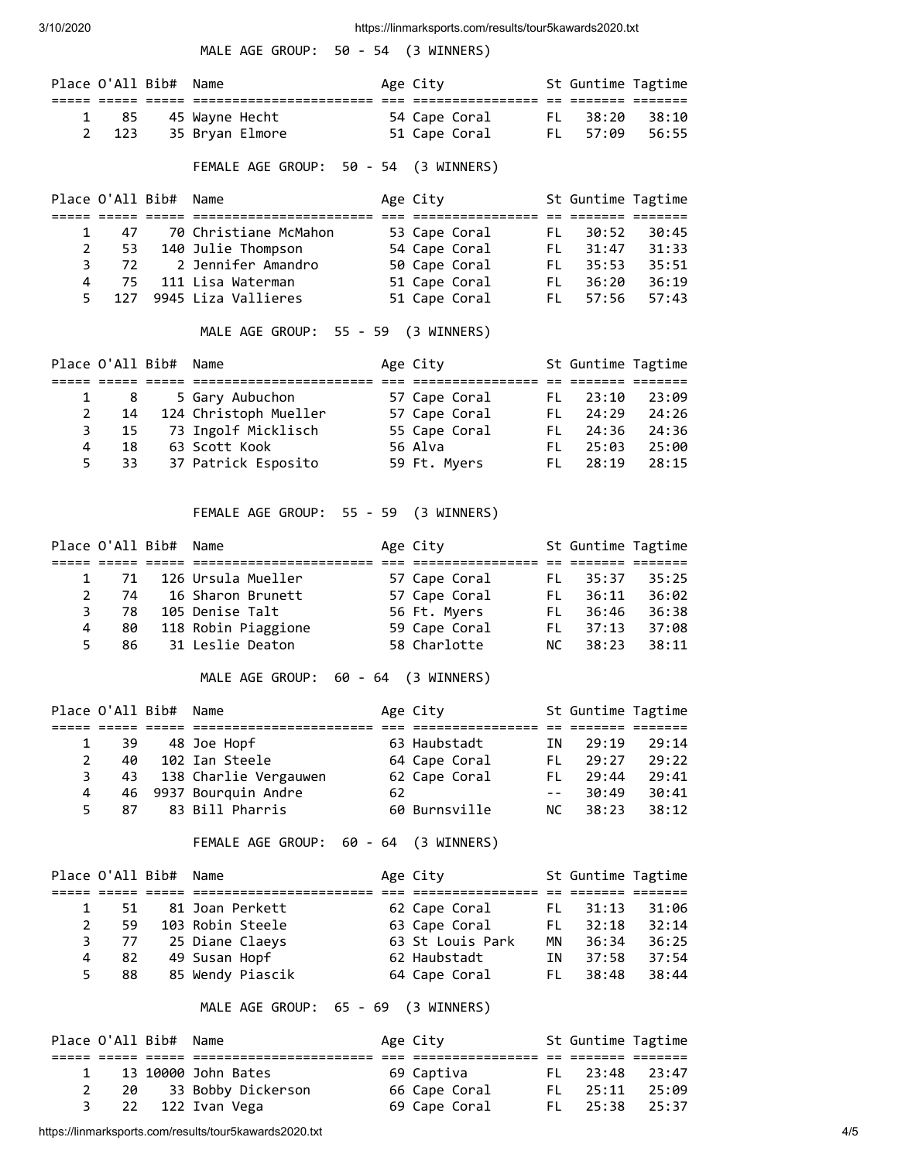|                                     |                               |                       | MALE AGE GROUP: 50 - 54 (3 WINNERS)                                                                                                                                                                                                        |    |              |                                      |                        |                    |       |
|-------------------------------------|-------------------------------|-----------------------|--------------------------------------------------------------------------------------------------------------------------------------------------------------------------------------------------------------------------------------------|----|--------------|--------------------------------------|------------------------|--------------------|-------|
|                                     |                               | Place O'All Bib# Name |                                                                                                                                                                                                                                            |    |              | Age City                             |                        | St Guntime Tagtime |       |
| 1                                   | 85                            |                       | 45 Wayne Hecht 54 Cape Coral                                                                                                                                                                                                               |    |              |                                      | FL .                   | 38:20              | 38:10 |
| $\overline{2}$                      | 123                           |                       | 35 Bryan Elmore 51 Cape Coral                                                                                                                                                                                                              |    |              |                                      | FL <sub>1</sub>        | 57:09              | 56:55 |
|                                     |                               |                       | FEMALE AGE GROUP: 50 - 54 (3 WINNERS)                                                                                                                                                                                                      |    |              |                                      |                        |                    |       |
|                                     |                               | Place O'All Bib# Name |                                                                                                                                                                                                                                            |    |              | Age City                             |                        | St Guntime Tagtime |       |
| 1                                   | 47                            |                       | 70 Christiane McMahon         53 Cape Coral                                                                                                                                                                                                |    |              |                                      | FL -                   | 30:52              | 30:45 |
| $\overline{2}$                      | 53                            |                       | 140 Julie Thompson 54 Cape Coral FL                                                                                                                                                                                                        |    |              |                                      |                        | 31:47              | 31:33 |
|                                     | $3 \qquad 72$                 |                       |                                                                                                                                                                                                                                            |    |              |                                      |                        |                    |       |
|                                     | 4 75                          |                       | 72 2 Jennifer Amandro 50 Cape Coral FL 35:53 35:51<br>75 111 Lisa Waterman 51 Cape Coral FL 36:20 36:19<br>127 9945 Liza Vallieres 51 Cape Coral FL 57:56 57:43                                                                            |    |              |                                      |                        |                    |       |
| 5                                   |                               |                       |                                                                                                                                                                                                                                            |    |              |                                      |                        |                    |       |
|                                     |                               |                       | MALE AGE GROUP: 55 - 59 (3 WINNERS)                                                                                                                                                                                                        |    |              |                                      |                        |                    |       |
|                                     |                               | Place O'All Bib# Name |                                                                                                                                                                                                                                            |    |              | Age City                             |                        | St Guntime Tagtime |       |
| 1                                   | 8                             |                       | 5 Gary Aubuchon 57 Cape Coral FL 23:10 23:09<br>124 Christoph Mueller 57 Cape Coral FL 24:29 24:26<br>73 Ingolf Micklisch 55 Cape Coral FL 24:36 24:36<br>63 Scott Kook 56 Alva FL 25:03 25:00<br>37 Patrick Esposito 59 Ft. Myers FL 28:1 |    |              |                                      |                        |                    |       |
| $\overline{2}$                      | 14                            |                       |                                                                                                                                                                                                                                            |    |              |                                      |                        |                    |       |
|                                     | $\overline{\mathbf{3}}$<br>15 |                       |                                                                                                                                                                                                                                            |    |              |                                      |                        |                    |       |
| 4<br>5                              | 18<br>33                      |                       |                                                                                                                                                                                                                                            |    |              |                                      |                        |                    |       |
|                                     |                               |                       |                                                                                                                                                                                                                                            |    |              |                                      |                        |                    |       |
|                                     |                               |                       | FEMALE AGE GROUP: 55 - 59 (3 WINNERS)                                                                                                                                                                                                      |    |              |                                      |                        |                    |       |
|                                     |                               | Place O'All Bib# Name |                                                                                                                                                                                                                                            |    |              | Age City <b>St Guntime Tagtime</b>   |                        |                    |       |
|                                     |                               |                       |                                                                                                                                                                                                                                            |    |              |                                      |                        |                    |       |
| $\mathbf{1}$<br>$\overline{2}$      | 71<br>74                      |                       |                                                                                                                                                                                                                                            |    |              |                                      |                        |                    |       |
| 3                                   |                               |                       | 78 105 Denise Talt                                                                                                                                                                                                                         |    |              |                                      |                        |                    |       |
| 4                                   | 80                            |                       | 118 Robin Piaggione 59 Cape Coral FL                                                                                                                                                                                                       |    |              |                                      |                        | 37:13              | 37:08 |
| 5                                   | 86                            |                       | 31 Leslie Deaton 58 Charlotte                                                                                                                                                                                                              |    |              |                                      | NC                     | 38:23              | 38:11 |
| MALE AGE GROUP: 60 - 64 (3 WINNERS) |                               |                       |                                                                                                                                                                                                                                            |    |              |                                      |                        |                    |       |
|                                     |                               | Place O'All Bib# Name |                                                                                                                                                                                                                                            |    | Age City     | ================= == ======= ======= |                        | St Guntime Tagtime |       |
| 1                                   | 39                            |                       | 48 Joe Hopf                                                                                                                                                                                                                                |    |              | 63 Haubstadt                         | IN                     | 29:19              | 29:14 |
| 2                                   | 40                            |                       | 102 Ian Steele                                                                                                                                                                                                                             |    |              | 64 Cape Coral                        | FL .                   | 29:27              | 29:22 |
| 3                                   | 43                            |                       | 138 Charlie Vergauwen                                                                                                                                                                                                                      |    |              | 62 Cape Coral                        | FL .                   | 29:44              | 29:41 |
| 4                                   | 46                            |                       | 9937 Bourquin Andre                                                                                                                                                                                                                        | 62 |              |                                      | $  \,$ $ \,$ $\,$ $\,$ | 30:49              | 30:41 |
| 5                                   | 87                            |                       | 83 Bill Pharris                                                                                                                                                                                                                            |    |              | 60 Burnsville                        | NC                     | 38:23              | 38:12 |
|                                     |                               |                       | FEMALE AGE GROUP: 60 - 64 (3 WINNERS)                                                                                                                                                                                                      |    |              |                                      |                        |                    |       |
|                                     | Place O'All Bib#              |                       | Name                                                                                                                                                                                                                                       |    | Age City     |                                      |                        | St Guntime Tagtime |       |
| 1                                   | 51                            |                       | 81 Joan Perkett                                                                                                                                                                                                                            |    |              | 62 Cape Coral                        | FL .                   | 31:13              | 31:06 |
| $\overline{2}$                      | 59                            |                       | 103 Robin Steele                                                                                                                                                                                                                           |    |              | 63 Cape Coral                        |                        | FL 32:18           | 32:14 |
| 3                                   | 77                            |                       | 25 Diane Claeys                                                                                                                                                                                                                            |    |              | 63 St Louis Park                     | MN                     | 36:34              | 36:25 |
| 4<br>5                              | 82                            |                       | 49 Susan Hopf                                                                                                                                                                                                                              |    | 62 Haubstadt |                                      | IN                     | 37:58              | 37:54 |
|                                     | 88                            |                       | 85 Wendy Piascik                                                                                                                                                                                                                           |    |              | 64 Cape Coral                        | FL -                   | 38:48              | 38:44 |
|                                     |                               |                       | MALE AGE GROUP: 65 - 69 (3 WINNERS)                                                                                                                                                                                                        |    |              |                                      |                        |                    |       |
|                                     | Place O'All Bib#              |                       | Name                                                                                                                                                                                                                                       |    | Age City     |                                      |                        | St Guntime Tagtime |       |
| 1                                   |                               |                       | 13 10000 John Bates                                                                                                                                                                                                                        |    |              | 69 Captiva                           |                        | FL 23:48           | 23:47 |
| $\overline{2}$                      | 20                            |                       | 33 Bobby Dickerson                                                                                                                                                                                                                         |    |              | 66 Cape Coral                        |                        | FL 25:11           | 25:09 |
| 3                                   | 22                            |                       | 122 Ivan Vega                                                                                                                                                                                                                              |    |              | 69 Cape Coral                        | FL -                   | 25:38              | 25:37 |